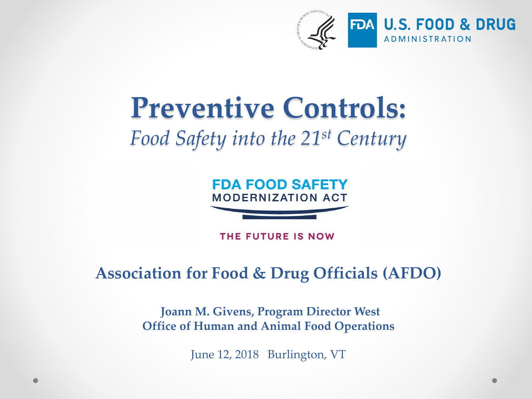

### **Preventive Controls:** *Food Safety into the 21st Century*



THE FUTURE IS NOW

#### **Association for Food & Drug Officials (AFDO)**

**Joann M. Givens, Program Director West Office of Human and Animal Food Operations**

June 12, 2018 Burlington, VT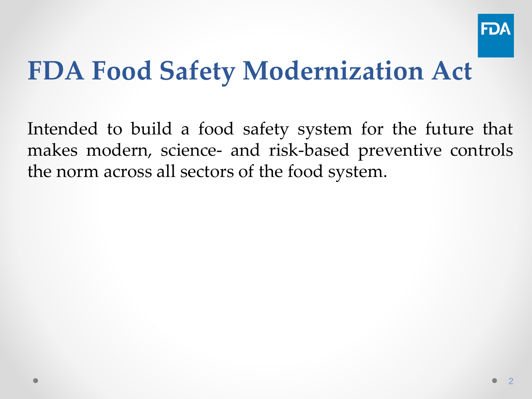

## **FDA Food Safety Modernization Act**

Intended to build a food safety system for the future that makes modern, science- and risk-based preventive controls the norm across all sectors of the food system.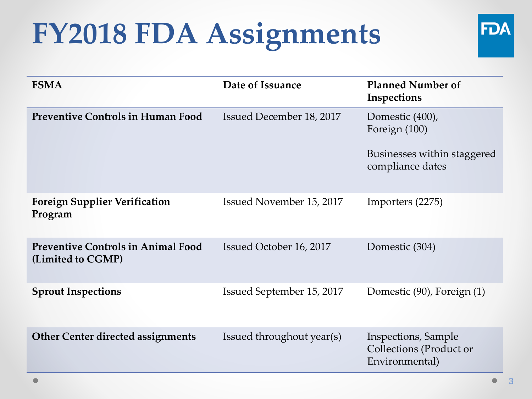## **FY2018 FDA Assignments**



| <b>FSMA</b>                                                    | Date of Issuance          | <b>Planned Number of</b><br>Inspections                          |
|----------------------------------------------------------------|---------------------------|------------------------------------------------------------------|
| <b>Preventive Controls in Human Food</b>                       | Issued December 18, 2017  | Domestic (400),<br>Foreign (100)                                 |
|                                                                |                           | Businesses within staggered<br>compliance dates                  |
| <b>Foreign Supplier Verification</b><br>Program                | Issued November 15, 2017  | Importers (2275)                                                 |
| <b>Preventive Controls in Animal Food</b><br>(Limited to CGMP) | Issued October 16, 2017   | Domestic (304)                                                   |
| <b>Sprout Inspections</b>                                      | Issued September 15, 2017 | Domestic (90), Foreign (1)                                       |
| <b>Other Center directed assignments</b>                       | Issued throughout year(s) | Inspections, Sample<br>Collections (Product or<br>Environmental) |

Ō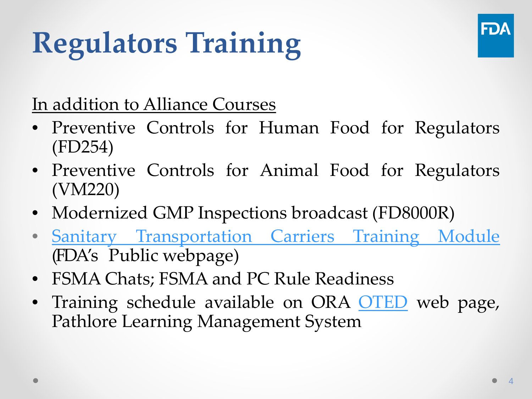# **Regulators Training**



In addition to Alliance Courses

- Preventive Controls for Human Food for Regulators (FD254)
- Preventive Controls for Animal Food for Regulators (VM220)
- Modernized GMP Inspections broadcast (FD8000R)
- Sanitary [Transportation](https://www.fda.gov/Food/GuidanceRegulation/FSMA/ucm576097.htm) Carriers Training Module (FDA's Public webpage)
- FSMA Chats; FSMA and PC Rule Readiness
- Training schedule available on ORA [OTED](https://www.fda.gov/Training/ForStateLocalTribalRegulators/ucm416564.htm) web page, Pathlore Learning Management System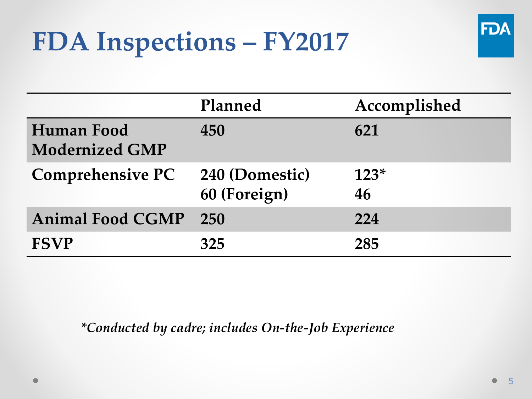## **FDA Inspections – FY2017**



|                                     | Planned                        | Accomplished |
|-------------------------------------|--------------------------------|--------------|
| Human Food<br><b>Modernized GMP</b> | 450                            | 621          |
| <b>Comprehensive PC</b>             | 240 (Domestic)<br>60 (Foreign) | $123*$<br>46 |
| <b>Animal Food CGMP</b>             | 250                            | 224          |
| <b>FSVP</b>                         | 325                            | 285          |

*\*Conducted by cadre; includes On-the-Job Experience*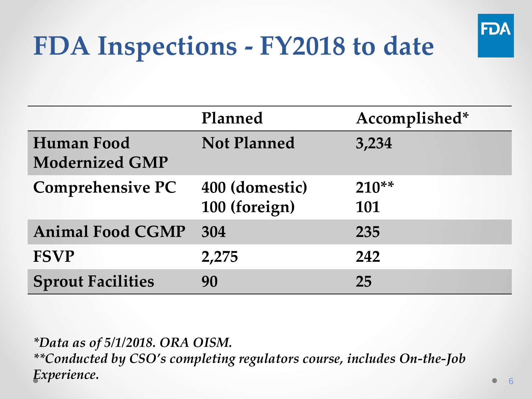

## **FDA Inspections - FY2018 to date**

|                                            | Planned                         | Accomplished*     |
|--------------------------------------------|---------------------------------|-------------------|
| <b>Human Food</b><br><b>Modernized GMP</b> | <b>Not Planned</b>              | 3,234             |
| <b>Comprehensive PC</b>                    | 400 (domestic)<br>100 (foreign) | $210^{**}$<br>101 |
| <b>Animal Food CGMP</b>                    | 304                             | 235               |
| <b>FSVP</b>                                | 2,275                           | 242               |
| <b>Sprout Facilities</b>                   | 90                              | 25                |

*\*Data as of 5/1/2018. ORA OISM. \*\*Conducted by CSO's completing regulators course, includes On-the-Job Experience.*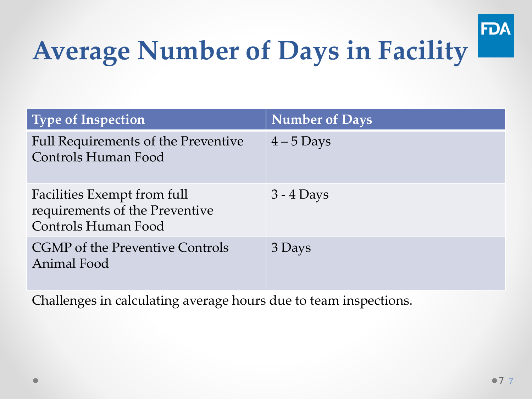

## **Average Number of Days in Facility**

| <b>Type of Inspection</b>                                                            | <b>Number of Days</b> |
|--------------------------------------------------------------------------------------|-----------------------|
| <b>Full Requirements of the Preventive</b><br>Controls Human Food                    | $4-5$ Days            |
| Facilities Exempt from full<br>requirements of the Preventive<br>Controls Human Food | $3 - 4$ Days          |
| <b>CGMP</b> of the Preventive Controls<br>Animal Food                                | 3 Days                |

Challenges in calculating average hours due to team inspections.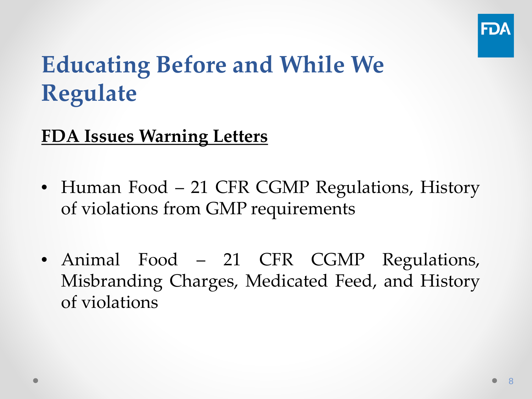

### **Educating Before and While We Regulate**

#### **FDA Issues Warning Letters**

- Human Food 21 CFR CGMP Regulations, History of violations from GMP requirements
- Animal Food 21 CFR CGMP Regulations, Misbranding Charges, Medicated Feed, and History of violations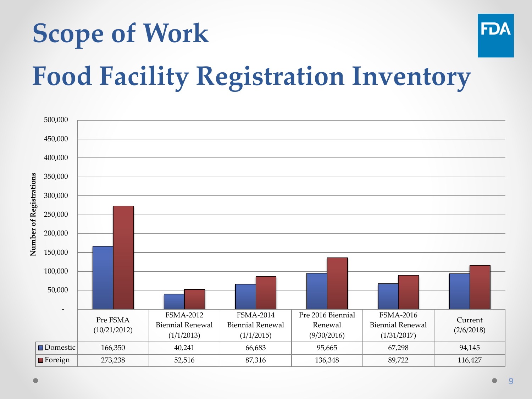# **Scope of Work Food Facility Registration Inventory**

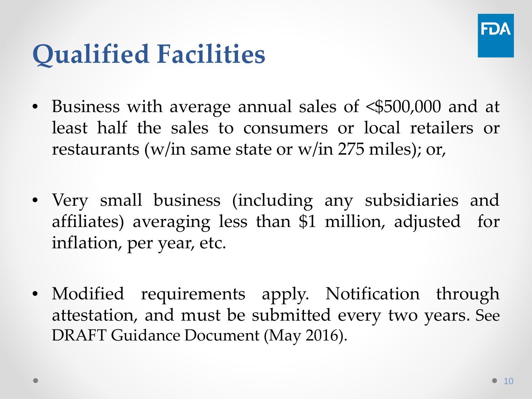

## **Qualified Facilities**

- Business with average annual sales of <\$500,000 and at least half the sales to consumers or local retailers or restaurants (w/in same state or w/in 275 miles); or,
- Very small business (including any subsidiaries and affiliates) averaging less than \$1 million, adjusted for inflation, per year, etc.
- Modified requirements apply. Notification through attestation, and must be submitted every two years. See DRAFT Guidance Document (May 2016).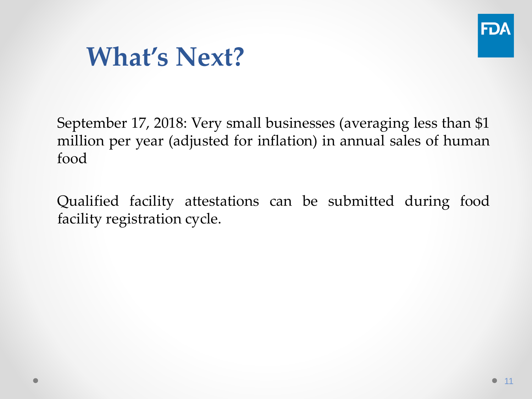

### **What's Next?**

September 17, 2018: Very small businesses (averaging less than \$1 million per year (adjusted for inflation) in annual sales of human food

Qualified facility attestations can be submitted during food facility registration cycle.